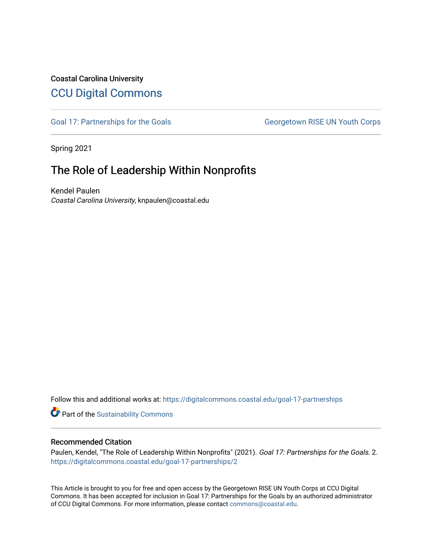# Coastal Carolina University [CCU Digital Commons](https://digitalcommons.coastal.edu/)

[Goal 17: Partnerships for the Goals](https://digitalcommons.coastal.edu/goal-17-partnerships) Georgetown RISE UN Youth Corps

Spring 2021

# The Role of Leadership Within Nonprofits

Kendel Paulen Coastal Carolina University, knpaulen@coastal.edu

Follow this and additional works at: [https://digitalcommons.coastal.edu/goal-17-partnerships](https://digitalcommons.coastal.edu/goal-17-partnerships?utm_source=digitalcommons.coastal.edu%2Fgoal-17-partnerships%2F2&utm_medium=PDF&utm_campaign=PDFCoverPages) 

Part of the [Sustainability Commons](http://network.bepress.com/hgg/discipline/1031?utm_source=digitalcommons.coastal.edu%2Fgoal-17-partnerships%2F2&utm_medium=PDF&utm_campaign=PDFCoverPages)

# Recommended Citation

Paulen, Kendel, "The Role of Leadership Within Nonprofits" (2021). Goal 17: Partnerships for the Goals. 2. [https://digitalcommons.coastal.edu/goal-17-partnerships/2](https://digitalcommons.coastal.edu/goal-17-partnerships/2?utm_source=digitalcommons.coastal.edu%2Fgoal-17-partnerships%2F2&utm_medium=PDF&utm_campaign=PDFCoverPages) 

This Article is brought to you for free and open access by the Georgetown RISE UN Youth Corps at CCU Digital Commons. It has been accepted for inclusion in Goal 17: Partnerships for the Goals by an authorized administrator of CCU Digital Commons. For more information, please contact [commons@coastal.edu.](mailto:commons@coastal.edu)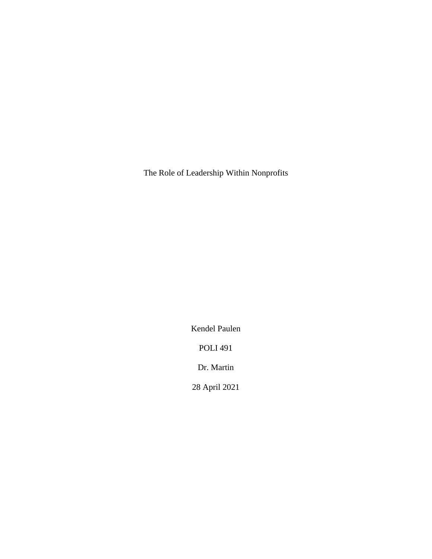The Role of Leadership Within Nonprofits

Kendel Paulen

POLI 491

Dr. Martin

28 April 2021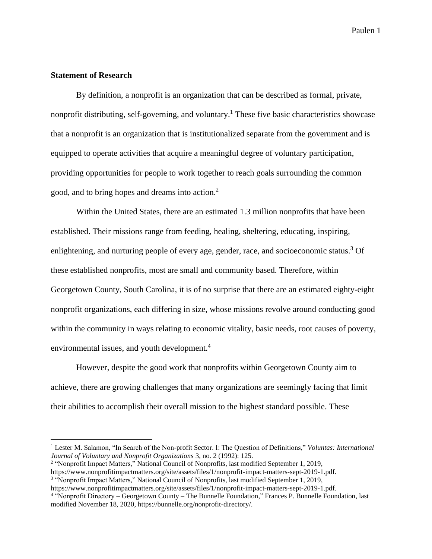# **Statement of Research**

By definition, a nonprofit is an organization that can be described as formal, private, nonprofit distributing, self-governing, and voluntary.<sup>1</sup> These five basic characteristics showcase that a nonprofit is an organization that is institutionalized separate from the government and is equipped to operate activities that acquire a meaningful degree of voluntary participation, providing opportunities for people to work together to reach goals surrounding the common good, and to bring hopes and dreams into action.<sup>2</sup>

Within the United States, there are an estimated 1.3 million nonprofits that have been established. Their missions range from feeding, healing, sheltering, educating, inspiring, enlightening, and nurturing people of every age, gender, race, and socioeconomic status.<sup>3</sup> Of these established nonprofits, most are small and community based. Therefore, within Georgetown County, South Carolina, it is of no surprise that there are an estimated eighty-eight nonprofit organizations, each differing in size, whose missions revolve around conducting good within the community in ways relating to economic vitality, basic needs, root causes of poverty, environmental issues, and youth development.<sup>4</sup>

However, despite the good work that nonprofits within Georgetown County aim to achieve, there are growing challenges that many organizations are seemingly facing that limit their abilities to accomplish their overall mission to the highest standard possible. These

<sup>&</sup>lt;sup>1</sup> Lester M. Salamon, "In Search of the Non-profit Sector. I: The Question of Definitions," *Voluntas: International Journal of Voluntary and Nonprofit Organizations* 3, no. 2 (1992): 125.

<sup>2</sup> "Nonprofit Impact Matters," National Council of Nonprofits, last modified September 1, 2019,

https://www.nonprofitimpactmatters.org/site/assets/files/1/nonprofit-impact-matters-sept-2019-1.pdf.

<sup>3</sup> "Nonprofit Impact Matters," National Council of Nonprofits, last modified September 1, 2019, https://www.nonprofitimpactmatters.org/site/assets/files/1/nonprofit-impact-matters-sept-2019-1.pdf.

<sup>4</sup> "Nonprofit Directory – Georgetown County – The Bunnelle Foundation," Frances P. Bunnelle Foundation, last modified November 18, 2020, https://bunnelle.org/nonprofit-directory/.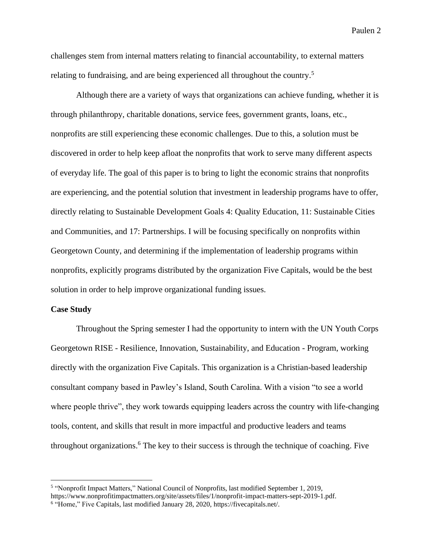challenges stem from internal matters relating to financial accountability, to external matters relating to fundraising, and are being experienced all throughout the country.<sup>5</sup>

Although there are a variety of ways that organizations can achieve funding, whether it is through philanthropy, charitable donations, service fees, government grants, loans, etc., nonprofits are still experiencing these economic challenges. Due to this, a solution must be discovered in order to help keep afloat the nonprofits that work to serve many different aspects of everyday life. The goal of this paper is to bring to light the economic strains that nonprofits are experiencing, and the potential solution that investment in leadership programs have to offer, directly relating to Sustainable Development Goals 4: Quality Education, 11: Sustainable Cities and Communities, and 17: Partnerships. I will be focusing specifically on nonprofits within Georgetown County, and determining if the implementation of leadership programs within nonprofits, explicitly programs distributed by the organization Five Capitals, would be the best solution in order to help improve organizational funding issues.

#### **Case Study**

Throughout the Spring semester I had the opportunity to intern with the UN Youth Corps Georgetown RISE - Resilience, Innovation, Sustainability, and Education - Program, working directly with the organization Five Capitals. This organization is a Christian-based leadership consultant company based in Pawley's Island, South Carolina. With a vision "to see a world where people thrive", they work towards equipping leaders across the country with life-changing tools, content, and skills that result in more impactful and productive leaders and teams throughout organizations. <sup>6</sup> The key to their success is through the technique of coaching. Five

<sup>&</sup>lt;sup>5</sup> "Nonprofit Impact Matters," National Council of Nonprofits, last modified September 1, 2019, https://www.nonprofitimpactmatters.org/site/assets/files/1/nonprofit-impact-matters-sept-2019-1.pdf. <sup>6</sup> "Home," Five Capitals, last modified January 28, 2020, https://fivecapitals.net/.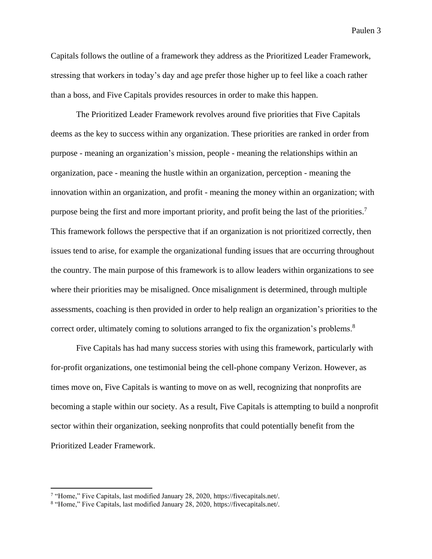Capitals follows the outline of a framework they address as the Prioritized Leader Framework, stressing that workers in today's day and age prefer those higher up to feel like a coach rather than a boss, and Five Capitals provides resources in order to make this happen.

The Prioritized Leader Framework revolves around five priorities that Five Capitals deems as the key to success within any organization. These priorities are ranked in order from purpose - meaning an organization's mission, people - meaning the relationships within an organization, pace - meaning the hustle within an organization, perception - meaning the innovation within an organization, and profit - meaning the money within an organization; with purpose being the first and more important priority, and profit being the last of the priorities.<sup>7</sup> This framework follows the perspective that if an organization is not prioritized correctly, then issues tend to arise, for example the organizational funding issues that are occurring throughout the country. The main purpose of this framework is to allow leaders within organizations to see where their priorities may be misaligned. Once misalignment is determined, through multiple assessments, coaching is then provided in order to help realign an organization's priorities to the correct order, ultimately coming to solutions arranged to fix the organization's problems.<sup>8</sup>

Five Capitals has had many success stories with using this framework, particularly with for-profit organizations, one testimonial being the cell-phone company Verizon. However, as times move on, Five Capitals is wanting to move on as well, recognizing that nonprofits are becoming a staple within our society. As a result, Five Capitals is attempting to build a nonprofit sector within their organization, seeking nonprofits that could potentially benefit from the Prioritized Leader Framework.

<sup>&</sup>lt;sup>7</sup> "Home," Five Capitals, last modified January 28, 2020, https://fivecapitals.net/.

<sup>&</sup>lt;sup>8</sup> "Home," Five Capitals, last modified January 28, 2020, https://fivecapitals.net/.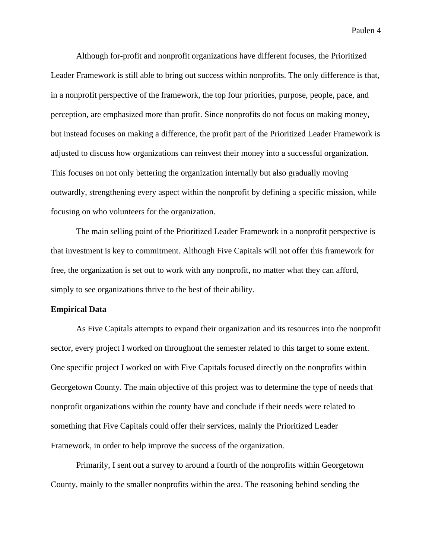Although for-profit and nonprofit organizations have different focuses, the Prioritized Leader Framework is still able to bring out success within nonprofits. The only difference is that, in a nonprofit perspective of the framework, the top four priorities, purpose, people, pace, and perception, are emphasized more than profit. Since nonprofits do not focus on making money, but instead focuses on making a difference, the profit part of the Prioritized Leader Framework is adjusted to discuss how organizations can reinvest their money into a successful organization. This focuses on not only bettering the organization internally but also gradually moving outwardly, strengthening every aspect within the nonprofit by defining a specific mission, while focusing on who volunteers for the organization.

The main selling point of the Prioritized Leader Framework in a nonprofit perspective is that investment is key to commitment. Although Five Capitals will not offer this framework for free, the organization is set out to work with any nonprofit, no matter what they can afford, simply to see organizations thrive to the best of their ability.

#### **Empirical Data**

As Five Capitals attempts to expand their organization and its resources into the nonprofit sector, every project I worked on throughout the semester related to this target to some extent. One specific project I worked on with Five Capitals focused directly on the nonprofits within Georgetown County. The main objective of this project was to determine the type of needs that nonprofit organizations within the county have and conclude if their needs were related to something that Five Capitals could offer their services, mainly the Prioritized Leader Framework, in order to help improve the success of the organization.

Primarily, I sent out a survey to around a fourth of the nonprofits within Georgetown County, mainly to the smaller nonprofits within the area. The reasoning behind sending the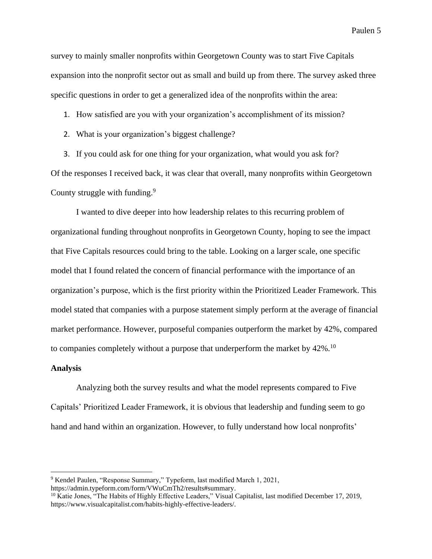survey to mainly smaller nonprofits within Georgetown County was to start Five Capitals expansion into the nonprofit sector out as small and build up from there. The survey asked three specific questions in order to get a generalized idea of the nonprofits within the area:

1. How satisfied are you with your organization's accomplishment of its mission?

- 2. What is your organization's biggest challenge?
- 3. If you could ask for one thing for your organization, what would you ask for?

Of the responses I received back, it was clear that overall, many nonprofits within Georgetown County struggle with funding.<sup>9</sup>

I wanted to dive deeper into how leadership relates to this recurring problem of organizational funding throughout nonprofits in Georgetown County, hoping to see the impact that Five Capitals resources could bring to the table. Looking on a larger scale, one specific model that I found related the concern of financial performance with the importance of an organization's purpose, which is the first priority within the Prioritized Leader Framework. This model stated that companies with a purpose statement simply perform at the average of financial market performance. However, purposeful companies outperform the market by 42%, compared to companies completely without a purpose that underperform the market by  $42\%$ .<sup>10</sup>

### **Analysis**

Analyzing both the survey results and what the model represents compared to Five Capitals' Prioritized Leader Framework, it is obvious that leadership and funding seem to go hand and hand within an organization. However, to fully understand how local nonprofits'

<sup>9</sup> Kendel Paulen, "Response Summary," Typeform, last modified March 1, 2021, https://admin.typeform.com/form/VWuCmTh2/results#summary.

<sup>&</sup>lt;sup>10</sup> Katie Jones, "The Habits of Highly Effective Leaders," Visual Capitalist, last modified December 17, 2019, https://www.visualcapitalist.com/habits-highly-effective-leaders/.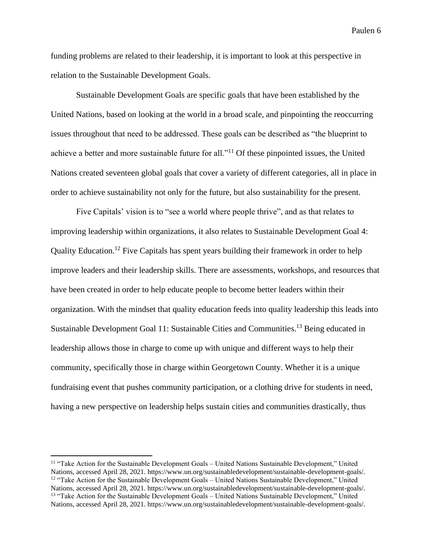funding problems are related to their leadership, it is important to look at this perspective in relation to the Sustainable Development Goals.

Sustainable Development Goals are specific goals that have been established by the United Nations, based on looking at the world in a broad scale, and pinpointing the reoccurring issues throughout that need to be addressed. These goals can be described as "the blueprint to achieve a better and more sustainable future for all."<sup>11</sup> Of these pinpointed issues, the United Nations created seventeen global goals that cover a variety of different categories, all in place in order to achieve sustainability not only for the future, but also sustainability for the present.

Five Capitals' vision is to "see a world where people thrive", and as that relates to improving leadership within organizations, it also relates to Sustainable Development Goal 4: Quality Education.<sup>12</sup> Five Capitals has spent years building their framework in order to help improve leaders and their leadership skills. There are assessments, workshops, and resources that have been created in order to help educate people to become better leaders within their organization. With the mindset that quality education feeds into quality leadership this leads into Sustainable Development Goal 11: Sustainable Cities and Communities.<sup>13</sup> Being educated in leadership allows those in charge to come up with unique and different ways to help their community, specifically those in charge within Georgetown County. Whether it is a unique fundraising event that pushes community participation, or a clothing drive for students in need, having a new perspective on leadership helps sustain cities and communities drastically, thus

<sup>11</sup> "Take Action for the Sustainable Development Goals – United Nations Sustainable Development," United Nations, accessed April 28, 2021. https://www.un.org/sustainabledevelopment/sustainable-development-goals/.  $12$  "Take Action for the Sustainable Development Goals – United Nations Sustainable Development," United Nations, accessed April 28, 2021. https://www.un.org/sustainabledevelopment/sustainable-development-goals/. <sup>13</sup> "Take Action for the Sustainable Development Goals – United Nations Sustainable Development," United Nations, accessed April 28, 2021. https://www.un.org/sustainabledevelopment/sustainable-development-goals/.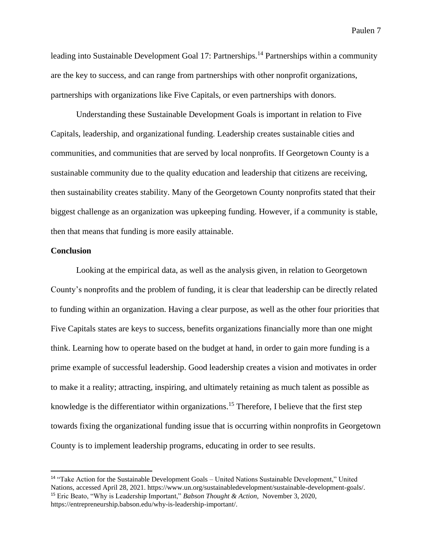leading into Sustainable Development Goal 17: Partnerships.<sup>14</sup> Partnerships within a community are the key to success, and can range from partnerships with other nonprofit organizations, partnerships with organizations like Five Capitals, or even partnerships with donors.

Understanding these Sustainable Development Goals is important in relation to Five Capitals, leadership, and organizational funding. Leadership creates sustainable cities and communities, and communities that are served by local nonprofits. If Georgetown County is a sustainable community due to the quality education and leadership that citizens are receiving, then sustainability creates stability. Many of the Georgetown County nonprofits stated that their biggest challenge as an organization was upkeeping funding. However, if a community is stable, then that means that funding is more easily attainable.

### **Conclusion**

Looking at the empirical data, as well as the analysis given, in relation to Georgetown County's nonprofits and the problem of funding, it is clear that leadership can be directly related to funding within an organization. Having a clear purpose, as well as the other four priorities that Five Capitals states are keys to success, benefits organizations financially more than one might think. Learning how to operate based on the budget at hand, in order to gain more funding is a prime example of successful leadership. Good leadership creates a vision and motivates in order to make it a reality; attracting, inspiring, and ultimately retaining as much talent as possible as knowledge is the differentiator within organizations. <sup>15</sup> Therefore, I believe that the first step towards fixing the organizational funding issue that is occurring within nonprofits in Georgetown County is to implement leadership programs, educating in order to see results.

<sup>14</sup> "Take Action for the Sustainable Development Goals – United Nations Sustainable Development," United Nations, accessed April 28, 2021. https://www.un.org/sustainabledevelopment/sustainable-development-goals/. <sup>15</sup> Eric Beato, "Why is Leadership Important," *Babson Thought & Action,* November 3, 2020, https://entrepreneurship.babson.edu/why-is-leadership-important/.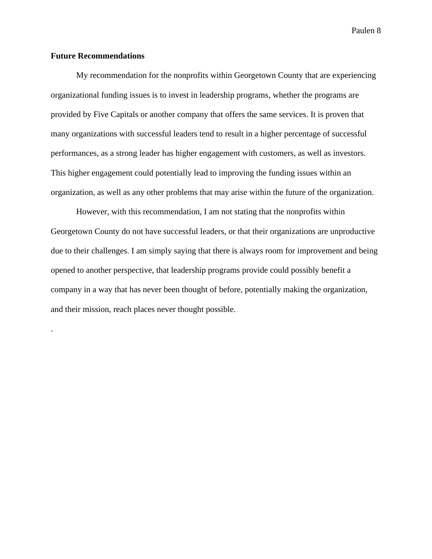# **Future Recommendations**

.

My recommendation for the nonprofits within Georgetown County that are experiencing organizational funding issues is to invest in leadership programs, whether the programs are provided by Five Capitals or another company that offers the same services. It is proven that many organizations with successful leaders tend to result in a higher percentage of successful performances, as a strong leader has higher engagement with customers, as well as investors. This higher engagement could potentially lead to improving the funding issues within an organization, as well as any other problems that may arise within the future of the organization.

However, with this recommendation, I am not stating that the nonprofits within Georgetown County do not have successful leaders, or that their organizations are unproductive due to their challenges. I am simply saying that there is always room for improvement and being opened to another perspective, that leadership programs provide could possibly benefit a company in a way that has never been thought of before, potentially making the organization, and their mission, reach places never thought possible.